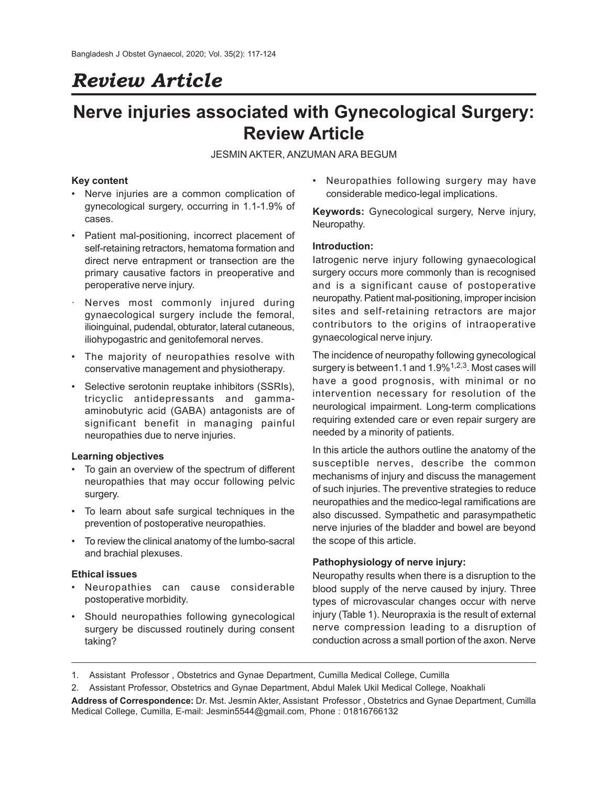# *Review Article*

## **Nerve injuries associated with Gynecological Surgery: Review Article**

JESMIN AKTER, ANZUMAN ARA BEGUM

## **Key content**

- Nerve injuries are a common complication of gynecological surgery, occurring in 1.1-1.9% of cases.
- Patient mal-positioning, incorrect placement of self-retaining retractors, hematoma formation and direct nerve entrapment or transection are the primary causative factors in preoperative and peroperative nerve injury.
- Nerves most commonly injured during gynaecological surgery include the femoral, ilioinguinal, pudendal, obturator, lateral cutaneous, iliohypogastric and genitofemoral nerves.
- The majority of neuropathies resolve with conservative management and physiotherapy.
- Selective serotonin reuptake inhibitors (SSRIs), tricyclic antidepressants and gammaaminobutyric acid (GABA) antagonists are of significant benefit in managing painful neuropathies due to nerve injuries.

#### **Learning objectives**

- To gain an overview of the spectrum of different neuropathies that may occur following pelvic surgery.
- To learn about safe surgical techniques in the prevention of postoperative neuropathies.
- To review the clinical anatomy of the lumbo-sacral and brachial plexuses.

#### **Ethical issues**

- Neuropathies can cause considerable postoperative morbidity.
- Should neuropathies following gynecological surgery be discussed routinely during consent taking?

• Neuropathies following surgery may have considerable medico-legal implications.

**Keywords:** Gynecological surgery, Nerve injury, Neuropathy.

## **Introduction:**

Iatrogenic nerve injury following gynaecological surgery occurs more commonly than is recognised and is a significant cause of postoperative neuropathy. Patient mal-positioning, improper incision sites and self-retaining retractors are major contributors to the origins of intraoperative gynaecological nerve injury.

The incidence of neuropathy following gynecological surgery is between1.1 and  $1.9\%$ <sup>1,2,3</sup>. Most cases will have a good prognosis, with minimal or no intervention necessary for resolution of the neurological impairment. Long-term complications requiring extended care or even repair surgery are needed by a minority of patients.

In this article the authors outline the anatomy of the susceptible nerves, describe the common mechanisms of injury and discuss the management of such injuries. The preventive strategies to reduce neuropathies and the medico-legal ramifications are also discussed. Sympathetic and parasympathetic nerve injuries of the bladder and bowel are beyond the scope of this article.

#### **Pathophysiology of nerve injury:**

Neuropathy results when there is a disruption to the blood supply of the nerve caused by injury. Three types of microvascular changes occur with nerve injury (Table 1). Neuropraxia is the result of external nerve compression leading to a disruption of conduction across a small portion of the axon. Nerve

- 1. Assistant Professor , Obstetrics and Gynae Department, Cumilla Medical College, Cumilla
- 2. Assistant Professor, Obstetrics and Gynae Department, Abdul Malek Ukil Medical College, Noakhali

**Address of Correspondence:** Dr. Mst. Jesmin Akter, Assistant Professor , Obstetrics and Gynae Department, Cumilla Medical College, Cumilla, E-mail: Jesmin5544@gmail.com, Phone : 01816766132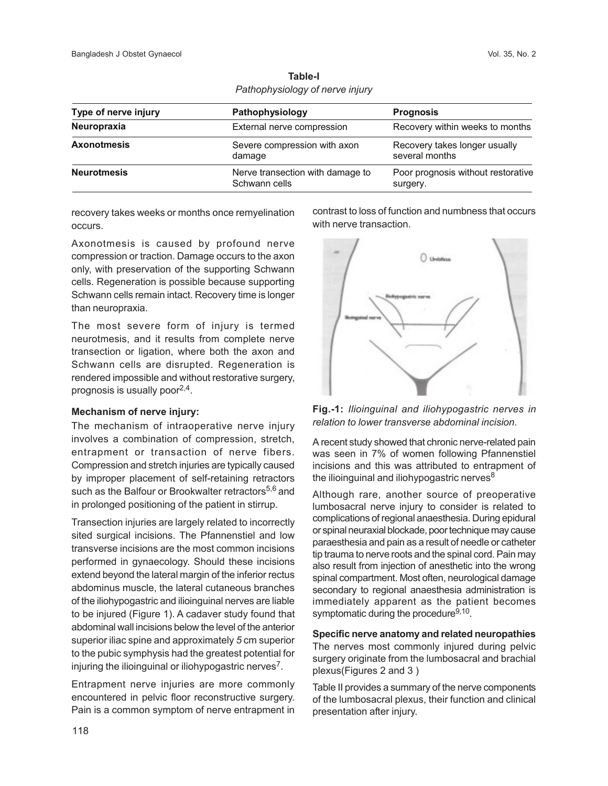| Type of nerve injury | Pathophysiology                                   | <b>Prognosis</b>                                |
|----------------------|---------------------------------------------------|-------------------------------------------------|
| Neuropraxia          | External nerve compression                        | Recovery within weeks to months                 |
| <b>Axonotmesis</b>   | Severe compression with axon<br>damage            | Recovery takes longer usually<br>several months |
| <b>Neurotmesis</b>   | Nerve transection with damage to<br>Schwann cells | Poor prognosis without restorative<br>surgery.  |

**Table-I** *Pathophysiology of nerve injury*

recovery takes weeks or months once remyelination occurs.

Axonotmesis is caused by profound nerve compression or traction. Damage occurs to the axon only, with preservation of the supporting Schwann cells. Regeneration is possible because supporting Schwann cells remain intact. Recovery time is longer than neuropraxia.

The most severe form of injury is termed neurotmesis, and it results from complete nerve transection or ligation, where both the axon and Schwann cells are disrupted. Regeneration is rendered impossible and without restorative surgery, prognosis is usually poor $2,4$ .

#### **Mechanism of nerve injury:**

The mechanism of intraoperative nerve injury involves a combination of compression, stretch, entrapment or transaction of nerve fibers. Compression and stretch injuries are typically caused by improper placement of self-retaining retractors such as the Balfour or Brookwalter retractors<sup>5,6</sup> and in prolonged positioning of the patient in stirrup.

Transection injuries are largely related to incorrectly sited surgical incisions. The Pfannenstiel and low transverse incisions are the most common incisions performed in gynaecology. Should these incisions extend beyond the lateral margin of the inferior rectus abdominus muscle, the lateral cutaneous branches of the iliohypogastric and ilioinguinal nerves are liable to be injured (Figure 1). A cadaver study found that abdominal wall incisions below the level of the anterior superior iliac spine and approximately *5* cm superior to the pubic symphysis had the greatest potential for injuring the ilioinguinal or iliohypogastric nerves<sup>7</sup>.

Entrapment nerve injuries are more commonly encountered in pelvic floor reconstructive surgery. Pain is a common symptom of nerve entrapment in contrast to loss of function and numbness that occurs with nerve transaction.



**Fig.-1:** *Ilioinguinal and iliohypogastric nerves in relation to lower transverse abdominal incision.*

A recent study showed that chronic nerve-related pain was seen in 7% of women following Pfannenstiel incisions and this was attributed to entrapment of the ilioinguinal and iliohypogastric nerves $8$ 

Although rare, another source of preoperative lumbosacral nerve injury to consider is related to complications of regional anaesthesia. During epidural or spinal neuraxial blockade, poor technique may cause paraesthesia and pain as a result of needle or catheter tip trauma to nerve roots and the spinal cord. Pain may also result from injection of anesthetic into the wrong spinal compartment. Most often, neurological damage secondary to regional anaesthesia administration is immediately apparent as the patient becomes symptomatic during the procedure<sup>9,10</sup>.

#### **Specific nerve anatomy and related neuropathies**

The nerves most commonly injured during pelvic surgery originate from the lumbosacral and brachial plexus(Figures 2 and 3 )

Table II provides a summary of the nerve components of the lumbosacral plexus, their function and clinical presentation after injury.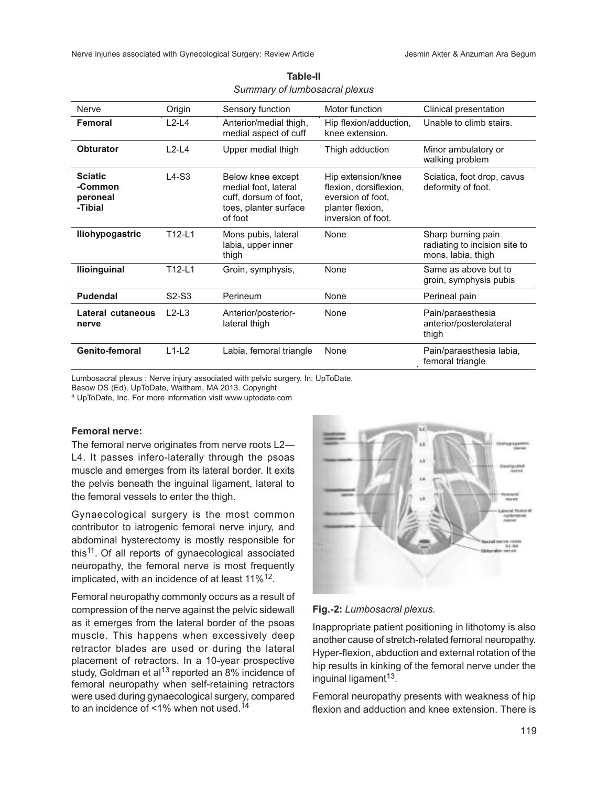| Nerve                                            | Origin                         | Sensory function                                                                                       | Motor function                                                                                              | Clinical presentation                                                     |
|--------------------------------------------------|--------------------------------|--------------------------------------------------------------------------------------------------------|-------------------------------------------------------------------------------------------------------------|---------------------------------------------------------------------------|
| Femoral                                          | $L2-L4$                        | Anterior/medial thigh,<br>medial aspect of cuff                                                        | Hip flexion/adduction,<br>knee extension.                                                                   | Unable to climb stairs.                                                   |
| Obturator                                        | $L2-L4$                        | Upper medial thigh                                                                                     | Thigh adduction                                                                                             | Minor ambulatory or<br>walking problem                                    |
| <b>Sciatic</b><br>-Common<br>peroneal<br>-Tibial | $L4-S3$                        | Below knee except<br>medial foot, lateral<br>cuff, dorsum of foot,<br>toes, planter surface<br>of foot | Hip extension/knee<br>flexion, dorsiflexion,<br>eversion of foot.<br>planter flexion,<br>inversion of foot. | Sciatica, foot drop, cavus<br>deformity of foot.                          |
| lliohypogastric                                  | T12-L1                         | Mons pubis, lateral<br>labia, upper inner<br>thigh                                                     | None                                                                                                        | Sharp burning pain<br>radiating to incision site to<br>mons, labia, thigh |
| <b>Ilioinguinal</b>                              | T12-L1                         | Groin, symphysis,                                                                                      | None                                                                                                        | Same as above but to<br>groin, symphysis pubis                            |
| <b>Pudendal</b>                                  | S <sub>2</sub> -S <sub>3</sub> | Perineum                                                                                               | None                                                                                                        | Perineal pain                                                             |
| Lateral cutaneous<br>nerve                       | $L2-L3$                        | Anterior/posterior-<br>lateral thigh                                                                   | None                                                                                                        | Pain/paraesthesia<br>anterior/posterolateral<br>thigh                     |
| Genito-femoral                                   | $L1-L2$                        | Labia, femoral triangle                                                                                | None                                                                                                        | Pain/paraesthesia labia,<br>femoral triangle                              |

| Table-II                      |  |
|-------------------------------|--|
| Summary of lumbosacral plexus |  |

Lumbosacral plexus : Nerve injury associated with pelvic surgery. In: UpToDate,

Basow DS (Ed), UpToDate, Waltham, MA 2013. Copyright

ª UpToDate, Inc. For more information visit www.uptodate.com

### **Femoral nerve:**

The femoral nerve originates from nerve roots L2— L4. It passes infero-laterally through the psoas muscle and emerges from its lateral border. It exits the pelvis beneath the inguinal ligament, lateral to the femoral vessels to enter the thigh.

Gynaecological surgery is the most common contributor to iatrogenic femoral nerve injury, and abdominal hysterectomy is mostly responsible for this<sup>11</sup>. Of all reports of gynaecological associated neuropathy, the femoral nerve is most frequently implicated, with an incidence of at least 11% $^{12}$ .

Femoral neuropathy commonly occurs as a result of compression of the nerve against the pelvic sidewall as it emerges from the lateral border of the psoas muscle. This happens when excessively deep retractor blades are used or during the lateral placement of retractors. In a 10-year prospective study, Goldman et al<sup>13</sup> reported an 8% incidence of femoral neuropathy when self-retaining retractors were used during gynaecological surgery, compared to an incidence of  $\leq$ 1% when not used.<sup>14</sup>



**Fig.-2:** *Lumbosacral plexus.*

Inappropriate patient positioning in lithotomy is also another cause of stretch-related femoral neuropathy. Hyper-flexion, abduction and external rotation of the hip results in kinking of the femoral nerve under the inguinal ligament<sup>13</sup>.

Femoral neuropathy presents with weakness of hip flexion and adduction and knee extension. There is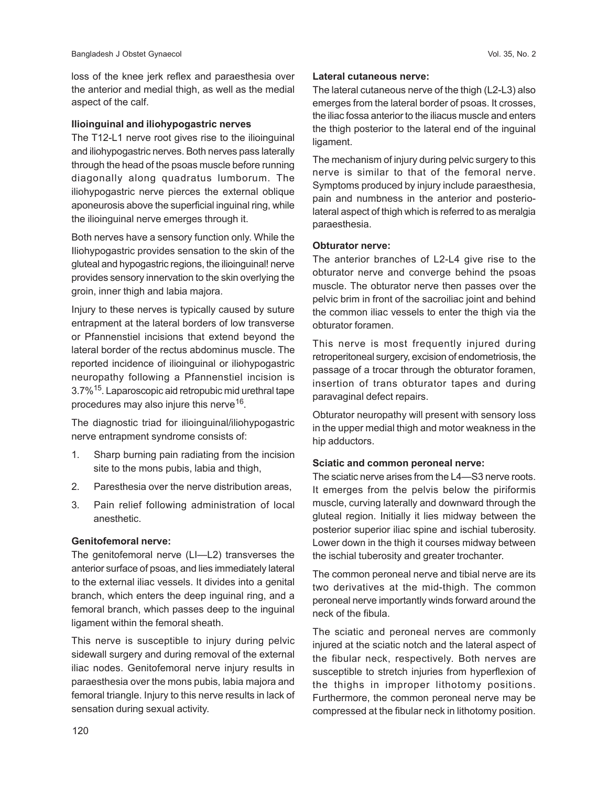loss of the knee jerk reflex and paraesthesia over the anterior and medial thigh, as well as the medial aspect of the calf.

#### **Ilioinguinal and iliohypogastric nerves**

The T12-L1 nerve root gives rise to the ilioinguinal and iliohypogastric nerves. Both nerves pass laterally through the head of the psoas muscle before running diagonally along quadratus lumborum. The iliohypogastric nerve pierces the external oblique aponeurosis above the superficial inguinal ring, while the ilioinguinal nerve emerges through it.

Both nerves have a sensory function only. While the Iliohypogastric provides sensation to the skin of the gluteal and hypogastric regions, the ilioinguinal! nerve provides sensory innervation to the skin overlying the groin, inner thigh and labia majora.

Injury to these nerves is typically caused by suture entrapment at the lateral borders of low transverse or Pfannenstiel incisions that extend beyond the lateral border of the rectus abdominus muscle. The reported incidence of ilioinguinal or iliohypogastric neuropathy following a Pfannenstiel incision is 3.7%15. Laparoscopic aid retropubic mid urethral tape procedures may also injure this nerve $^{16}$ .

The diagnostic triad for ilioinguinal/iliohypogastric nerve entrapment syndrome consists of:

- 1. Sharp burning pain radiating from the incision site to the mons pubis, labia and thigh,
- 2. Paresthesia over the nerve distribution areas,
- 3. Pain relief following administration of local anesthetic.

#### **Genitofemoral nerve:**

The genitofemoral nerve (LI—L2) transverses the anterior surface of psoas, and lies immediately lateral to the external iliac vessels. It divides into a genital branch, which enters the deep inguinal ring, and a femoral branch, which passes deep to the inguinal ligament within the femoral sheath.

This nerve is susceptible to injury during pelvic sidewall surgery and during removal of the external iliac nodes. Genitofemoral nerve injury results in paraesthesia over the mons pubis, labia majora and femoral triangle. Injury to this nerve results in lack of sensation during sexual activity.

#### **Lateral cutaneous nerve:**

The lateral cutaneous nerve of the thigh (L2-L3) also emerges from the lateral border of psoas. It crosses, the iliac fossa anterior to the iliacus muscle and enters the thigh posterior to the lateral end of the inguinal ligament.

The mechanism of injury during pelvic surgery to this nerve is similar to that of the femoral nerve. Symptoms produced by injury include paraesthesia, pain and numbness in the anterior and posteriolateral aspect of thigh which is referred to as meralgia paraesthesia.

#### **Obturator nerve:**

The anterior branches of L2-L4 give rise to the obturator nerve and converge behind the psoas muscle. The obturator nerve then passes over the pelvic brim in front of the sacroiliac joint and behind the common iliac vessels to enter the thigh via the obturator foramen.

This nerve is most frequently injured during retroperitoneal surgery, excision of endometriosis, the passage of a trocar through the obturator foramen, insertion of trans obturator tapes and during paravaginal defect repairs.

Obturator neuropathy will present with sensory loss in the upper medial thigh and motor weakness in the hip adductors.

#### **Sciatic and common peroneal nerve:**

The sciatic nerve arises from the L4—S3 nerve roots. It emerges from the pelvis below the piriformis muscle, curving laterally and downward through the gluteal region. Initially it lies midway between the posterior superior iliac spine and ischial tuberosity. Lower down in the thigh it courses midway between the ischial tuberosity and greater trochanter.

The common peroneal nerve and tibial nerve are its two derivatives at the mid-thigh. The common peroneal nerve importantly winds forward around the neck of the fibula.

The sciatic and peroneal nerves are commonly injured at the sciatic notch and the lateral aspect of the fibular neck, respectively. Both nerves are susceptible to stretch injuries from hyperflexion of the thighs in improper lithotomy positions. Furthermore, the common peroneal nerve may be compressed at the fibular neck in lithotomy position.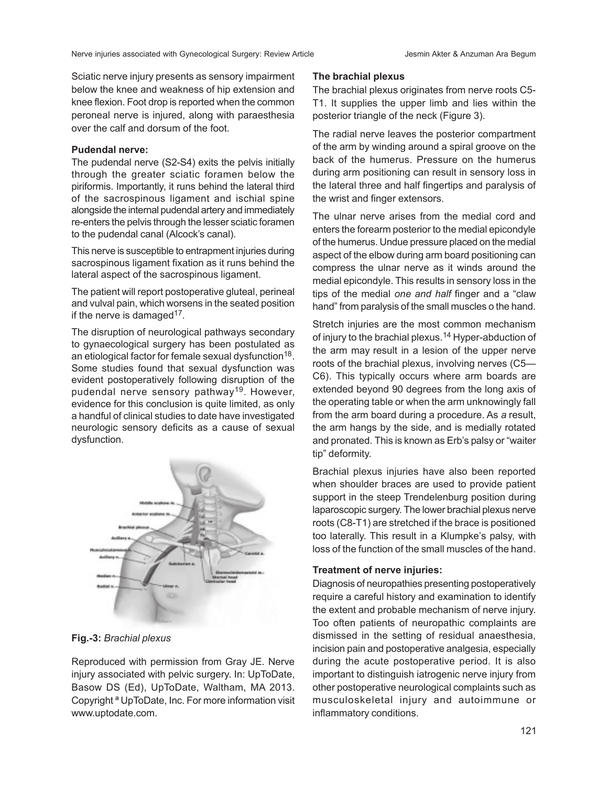Sciatic nerve injury presents as sensory impairment below the knee and weakness of hip extension and knee flexion. Foot drop is reported when the common peroneal nerve is injured, along with paraesthesia over the calf and dorsum of the foot.

#### **Pudendal nerve:**

The pudendal nerve (S2-S4) exits the pelvis initially through the greater sciatic foramen below the piriformis. Importantly, it runs behind the lateral third of the sacrospinous ligament and ischial spine alongside the internal pudendal artery and immediately re-enters the pelvis through the lesser sciatic foramen to the pudendal canal (Alcock's canal).

This nerve is susceptible to entrapment injuries during sacrospinous ligament fixation as it runs behind the lateral aspect of the sacrospinous ligament.

The patient will report postoperative gluteal, perineal and vulval pain, which worsens in the seated position if the nerve is damaged $17$ .

The disruption of neurological pathways secondary to gynaecological surgery has been postulated as an etiological factor for female sexual dysfunction $^{18}.$ Some studies found that sexual dysfunction was evident postoperatively following disruption of the pudendal nerve sensory pathway<sup>19</sup>. However, evidence for this conclusion is quite limited, as only a handful of clinical studies to date have investigated neurologic sensory deficits as a cause of sexual dysfunction.



**Fig.-3:** *Brachial plexus*

Reproduced with permission from Gray JE. Nerve injury associated with pelvic surgery. In: UpToDate, Basow DS (Ed), UpToDate, Waltham, MA 2013. Copyright ª UpToDate, Inc. For more information visit www.uptodate.com.

#### **The brachial plexus**

The brachial plexus originates from nerve roots C5- T1. It supplies the upper limb and lies within the posterior triangle of the neck (Figure 3).

The radial nerve leaves the posterior compartment of the arm by winding around a spiral groove on the back of the humerus. Pressure on the humerus during arm positioning can result in sensory loss in the lateral three and half fingertips and paralysis of the wrist and finger extensors.

The ulnar nerve arises from the medial cord and enters the forearm posterior to the medial epicondyle of the humerus. Undue pressure placed on the medial aspect of the elbow during arm board positioning can compress the ulnar nerve as it winds around the medial epicondyle. This results in sensory loss in the tips of the medial *one and half* finger and a "claw hand" from paralysis of the small muscles o the hand.

Stretch injuries are the most common mechanism of injury to the brachial plexus.<sup>14</sup> Hyper-abduction of the arm may result in a lesion of the upper nerve roots of the brachial plexus, involving nerves (C5— C6). This typically occurs where arm boards are extended beyond 90 degrees from the long axis of the operating table or when the arm unknowingly fall from the arm board during a procedure. As *a* result, the arm hangs by the side, and is medially rotated and pronated. This is known as Erb's palsy or "waiter tip" deformity.

Brachial plexus injuries have also been reported when shoulder braces are used to provide patient support in the steep Trendelenburg position during laparoscopic surgery. The lower brachial plexus nerve roots (C8-T1) are stretched if the brace is positioned too laterally. This result in a Klumpke's palsy, with loss of the function of the small muscles of the hand.

## **Treatment of nerve injuries:**

Diagnosis of neuropathies presenting postoperatively require a careful history and examination to identify the extent and probable mechanism of nerve injury. Too often patients of neuropathic complaints are dismissed in the setting of residual anaesthesia, incision pain and postoperative analgesia, especially during the acute postoperative period. It is also important to distinguish iatrogenic nerve injury from other postoperative neurological complaints such as musculoskeletal injury and autoimmune or inflammatory conditions.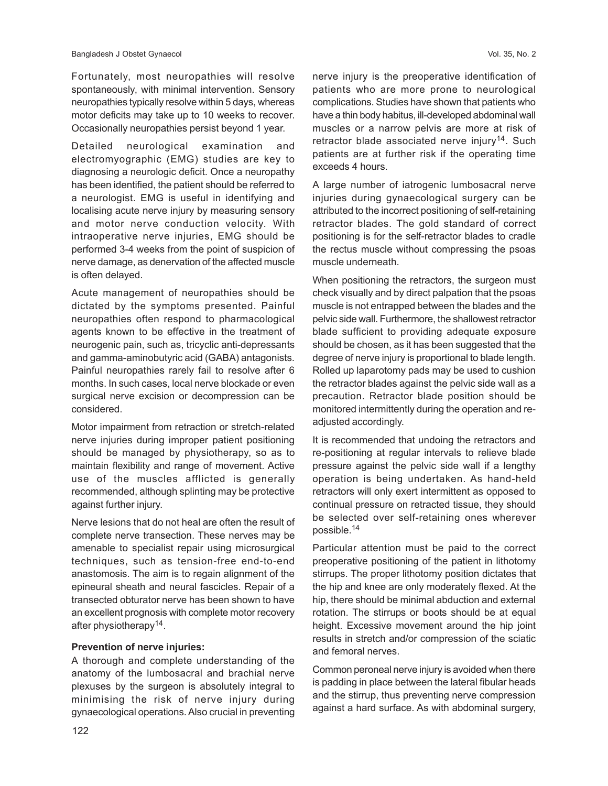Fortunately, most neuropathies will resolve spontaneously, with minimal intervention. Sensory neuropathies typically resolve within 5 days, whereas motor deficits may take up to 10 weeks to recover. Occasionally neuropathies persist beyond 1 year.

Detailed neurological examination and electromyographic (EMG) studies are key to diagnosing a neurologic deficit. Once a neuropathy has been identified, the patient should be referred to a neurologist. EMG is useful in identifying and localising acute nerve injury by measuring sensory and motor nerve conduction velocity. With intraoperative nerve injuries, EMG should be performed 3-4 weeks from the point of suspicion of nerve damage, as denervation of the affected muscle is often delayed.

Acute management of neuropathies should be dictated by the symptoms presented. Painful neuropathies often respond to pharmacological agents known to be effective in the treatment of neurogenic pain, such as, tricyclic anti-depressants and gamma-aminobutyric acid (GABA) antagonists. Painful neuropathies rarely fail to resolve after 6 months. In such cases, local nerve blockade or even surgical nerve excision or decompression can be considered.

Motor impairment from retraction or stretch-related nerve injuries during improper patient positioning should be managed by physiotherapy, so as to maintain flexibility and range of movement. Active use of the muscles afflicted is generally recommended, although splinting may be protective against further injury.

Nerve lesions that do not heal are often the result of complete nerve transection. These nerves may be amenable to specialist repair using microsurgical techniques, such as tension-free end-to-end anastomosis. The aim is to regain alignment of the epineural sheath and neural fascicles. Repair of a transected obturator nerve has been shown to have an excellent prognosis with complete motor recovery after physiotherapy<sup>14</sup>.

#### **Prevention of nerve injuries:**

A thorough and complete understanding of the anatomy of the lumbosacral and brachial nerve plexuses by the surgeon is absolutely integral to minimising the risk of nerve injury during gynaecological operations. Also crucial in preventing nerve injury is the preoperative identification of patients who are more prone to neurological complications. Studies have shown that patients who have a thin body habitus, ill-developed abdominal wall muscles or a narrow pelvis are more at risk of retractor blade associated nerve injury<sup>14</sup>. Such patients are at further risk if the operating time exceeds 4 hours.

A large number of iatrogenic lumbosacral nerve injuries during gynaecological surgery can be attributed to the incorrect positioning of self-retaining retractor blades. The gold standard of correct positioning is for the self-retractor blades to cradle the rectus muscle without compressing the psoas muscle underneath.

When positioning the retractors, the surgeon must check visually and by direct palpation that the psoas muscle is not entrapped between the blades and the pelvic side wall. Furthermore, the shallowest retractor blade sufficient to providing adequate exposure should be chosen, as it has been suggested that the degree of nerve injury is proportional to blade length. Rolled up laparotomy pads may be used to cushion the retractor blades against the pelvic side wall as a precaution. Retractor blade position should be monitored intermittently during the operation and readjusted accordingly.

It is recommended that undoing the retractors and re-positioning at regular intervals to relieve blade pressure against the pelvic side wall if a lengthy operation is being undertaken. As hand-held retractors will only exert intermittent as opposed to continual pressure on retracted tissue, they should be selected over self-retaining ones wherever possible.<sup>14</sup>

Particular attention must be paid to the correct preoperative positioning of the patient in lithotomy stirrups. The proper lithotomy position dictates that the hip and knee are only moderately flexed. At the hip, there should be minimal abduction and external rotation. The stirrups or boots should be at equal height. Excessive movement around the hip joint results in stretch and/or compression of the sciatic and femoral nerves.

Common peroneal nerve injury is avoided when there is padding in place between the lateral fibular heads and the stirrup, thus preventing nerve compression against a hard surface. As with abdominal surgery,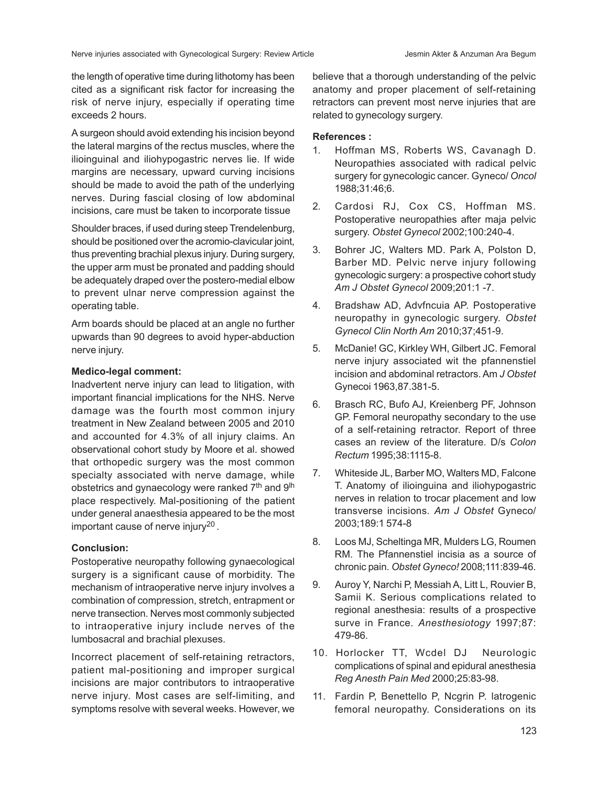the length of operative time during lithotomy has been cited as a significant risk factor for increasing the risk of nerve injury, especially if operating time exceeds 2 hours.

A surgeon should avoid extending his incision beyond the lateral margins of the rectus muscles, where the ilioinguinal and iliohypogastric nerves lie. If wide margins are necessary, upward curving incisions should be made to avoid the path of the underlying nerves. During fascial closing of low abdominal incisions, care must be taken to incorporate tissue

Shoulder braces, if used during steep Trendelenburg, should be positioned over the acromio-clavicular joint, thus preventing brachial plexus injury. During surgery, the upper arm must be pronated and padding should be adequately draped over the postero-medial elbow to prevent ulnar nerve compression against the operating table.

Arm boards should be placed at an angle no further upwards than 90 degrees to avoid hyper-abduction nerve injury.

## **Medico-legal comment:**

Inadvertent nerve injury can lead to litigation, with important financial implications for the NHS. Nerve damage was the fourth most common injury treatment in New Zealand between 2005 and 2010 and accounted for 4.3% of all injury claims. An observational cohort study by Moore et al. showed that orthopedic surgery was the most common specialty associated with nerve damage, while obstetrics and gynaecology were ranked 7<sup>th</sup> and 9<sup>th</sup> place respectively. Mal-positioning of the patient under general anaesthesia appeared to be the most important cause of nerve injury<sup>20</sup>.

## **Conclusion:**

Postoperative neuropathy following gynaecological surgery is a significant cause of morbidity. The mechanism of intraoperative nerve injury involves a combination of compression, stretch, entrapment or nerve transection. Nerves most commonly subjected to intraoperative injury include nerves of the lumbosacral and brachial plexuses.

Incorrect placement of self-retaining retractors, patient mal-positioning and improper surgical incisions are major contributors to intraoperative nerve injury. Most cases are self-limiting, and symptoms resolve with several weeks. However, we believe that a thorough understanding of the pelvic anatomy and proper placement of self-retaining retractors can prevent most nerve injuries that are related to gynecology surgery.

## **References :**

- 1. Hoffman MS, Roberts WS, Cavanagh D. Neuropathies associated with radical pelvic surgery for gynecologic cancer. Gyneco/ *Oncol* 1988;31:46;6.
- 2. Cardosi RJ, Cox CS, Hoffman MS. Postoperative neuropathies after maja pelvic surgery. *Obstet Gynecol* 2002;100:240-4.
- 3. Bohrer JC, Walters MD. Park A, Polston D, Barber MD. Pelvic nerve injury following gynecologic surgery: a prospective cohort study *Am J Obstet Gynecol* 2009;201:1 -7.
- 4. Bradshaw AD, Advfncuia AP. Postoperative neuropathy in gynecologic surgery. *Obstet Gynecol Clin North Am* 2010;37;451-9.
- 5. McDanie! GC, Kirkley WH, Gilbert JC. Femoral nerve injury associated wit the pfannenstiel incision and abdominal retractors. Am *J Obstet* Gynecoi 1963,87.381-5.
- 6. Brasch RC, Bufo AJ, Kreienberg PF, Johnson GP. Femoral neuropathy secondary to the use of a self-retaining retractor. Report of three cases an review of the literature. D/s *Colon Rectum* 1995;38:1115-8.
- 7. Whiteside JL, Barber MO, Walters MD, Falcone T. Anatomy of ilioinguina and iliohypogastric nerves in relation to trocar placement and low transverse incisions. *Am J Obstet* Gyneco/ 2003;189:1 574-8
- 8. Loos MJ, Scheltinga MR, Mulders LG, Roumen RM. The Pfannenstiel incisia as a source of chronic pain. *Obstet Gyneco!* 2008;111:839-46.
- 9. Auroy Y, Narchi P, Messiah A, Litt L, Rouvier B, Samii K. Serious complications related to regional anesthesia: results of a prospective surve in France. *Anesthesiotogy* 1997;87: 479-86.
- 10. Horlocker TT, Wcdel DJ Neurologic complications of spinal and epidural anesthesia *Reg Anesth Pain Med* 2000;25:83-98.
- 11. Fardin P, Benettello P, Ncgrin P. latrogenic femoral neuropathy. Considerations on its